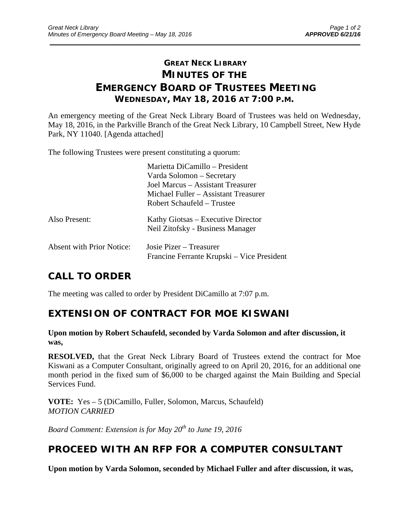# **GREAT NECK LIBRARY MINUTES OF THE EMERGENCY BOARD OF TRUSTEES MEETING WEDNESDAY, MAY 18, 2016 AT 7:00 P.M.**

\_\_\_\_\_\_\_\_\_\_\_\_\_\_\_\_\_\_\_\_\_\_\_\_\_\_\_\_\_\_\_\_\_\_\_\_\_\_\_\_\_\_\_\_\_\_\_\_\_\_\_\_\_\_\_\_\_\_\_\_\_\_\_\_\_\_\_\_\_\_\_\_\_\_\_\_\_\_\_\_\_\_\_\_\_\_\_\_\_\_\_\_\_

An emergency meeting of the Great Neck Library Board of Trustees was held on Wednesday, May 18, 2016, in the Parkville Branch of the Great Neck Library, 10 Campbell Street, New Hyde Park, NY 11040. [Agenda attached]

The following Trustees were present constituting a quorum:

|                                  | Marietta DiCamillo – President             |
|----------------------------------|--------------------------------------------|
|                                  | Varda Solomon – Secretary                  |
|                                  | Joel Marcus – Assistant Treasurer          |
|                                  | Michael Fuller – Assistant Treasurer       |
|                                  | Robert Schaufeld – Trustee                 |
| Also Present:                    | Kathy Giotsas – Executive Director         |
|                                  | Neil Zitofsky - Business Manager           |
| <b>Absent with Prior Notice:</b> | Josie Pizer – Treasurer                    |
|                                  | Francine Ferrante Krupski – Vice President |

### **CALL TO ORDER**

The meeting was called to order by President DiCamillo at 7:07 p.m.

### **EXTENSION OF CONTRACT FOR MOE KISWANI**

#### **Upon motion by Robert Schaufeld, seconded by Varda Solomon and after discussion, it was,**

**RESOLVED,** that the Great Neck Library Board of Trustees extend the contract for Moe Kiswani as a Computer Consultant, originally agreed to on April 20, 2016, for an additional one month period in the fixed sum of \$6,000 to be charged against the Main Building and Special Services Fund.

**VOTE:** Yes – 5 (DiCamillo, Fuller, Solomon, Marcus, Schaufeld) *MOTION CARRIED* 

*Board Comment: Extension is for May 20th to June 19, 2016* 

### **PROCEED WITH AN RFP FOR A COMPUTER CONSULTANT**

**Upon motion by Varda Solomon, seconded by Michael Fuller and after discussion, it was,**